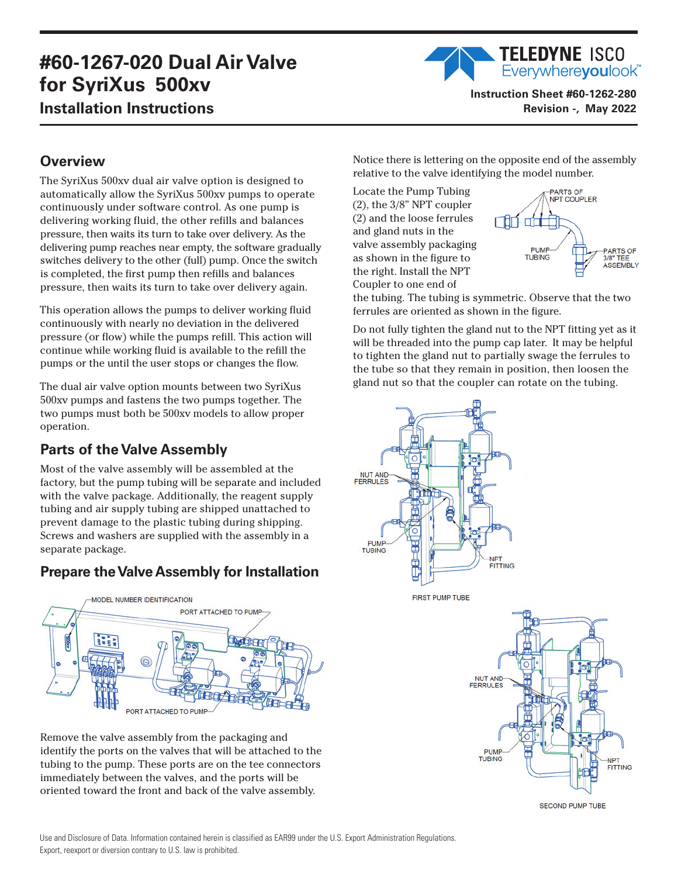## **#60-1267-020 Dual Air Valve for SyriXus 500xv Installation Instructions**



**Instruction Sheet #60-1262-280 Revision -, May 2022**

## **Overview**

The SyriXus 500xv dual air valve option is designed to automatically allow the SyriXus 500xv pumps to operate continuously under software control. As one pump is delivering working fluid, the other refills and balances pressure, then waits its turn to take over delivery. As the delivering pump reaches near empty, the software gradually switches delivery to the other (full) pump. Once the switch is completed, the first pump then refills and balances pressure, then waits its turn to take over delivery again.

This operation allows the pumps to deliver working fluid continuously with nearly no deviation in the delivered pressure (or flow) while the pumps refill. This action will continue while working fluid is available to the refill the pumps or the until the user stops or changes the flow.

The dual air valve option mounts between two SyriXus 500xv pumps and fastens the two pumps together. The two pumps must both be 500xv models to allow proper operation.

## **Parts of the Valve Assembly**

Most of the valve assembly will be assembled at the factory, but the pump tubing will be separate and included with the valve package. Additionally, the reagent supply tubing and air supply tubing are shipped unattached to prevent damage to the plastic tubing during shipping. Screws and washers are supplied with the assembly in a separate package.

## **Prepare the Valve Assembly for Installation**



Remove the valve assembly from the packaging and identify the ports on the valves that will be attached to the tubing to the pump. These ports are on the tee connectors immediately between the valves, and the ports will be oriented toward the front and back of the valve assembly.

Notice there is lettering on the opposite end of the assembly relative to the valve identifying the model number.

Locate the Pump Tubing (2), the 3/8" NPT coupler (2) and the loose ferrules and gland nuts in the valve assembly packaging as shown in the figure to the right. Install the NPT Coupler to one end of



the tubing. The tubing is symmetric. Observe that the two ferrules are oriented as shown in the figure.

Do not fully tighten the gland nut to the NPT fitting yet as it will be threaded into the pump cap later. It may be helpful to tighten the gland nut to partially swage the ferrules to the tube so that they remain in position, then loosen the gland nut so that the coupler can rotate on the tubing.



**SECOND PUMP TUBE**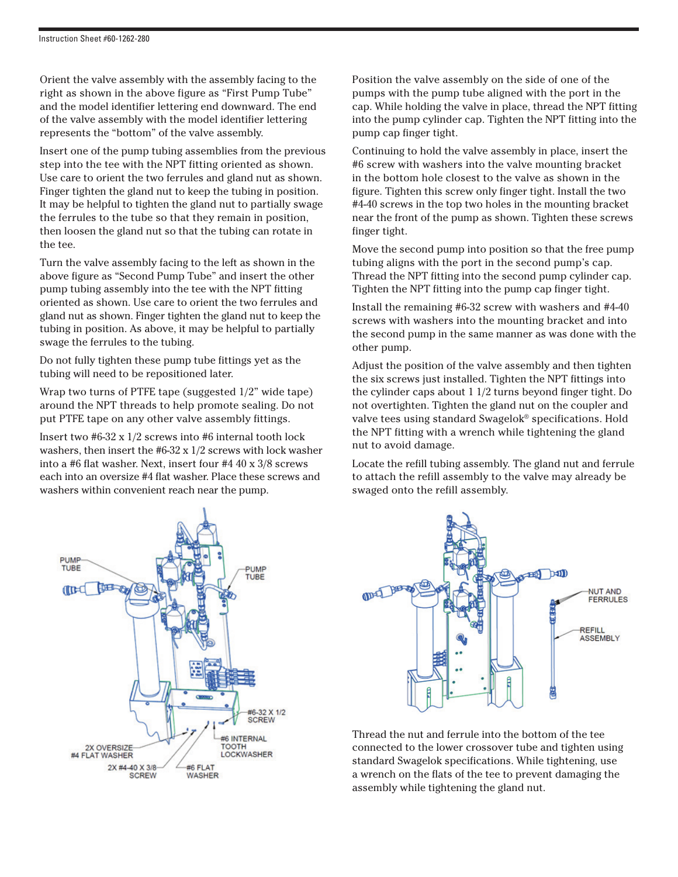Orient the valve assembly with the assembly facing to the right as shown in the above figure as "First Pump Tube" and the model identifier lettering end downward. The end of the valve assembly with the model identifier lettering represents the "bottom" of the valve assembly.

Insert one of the pump tubing assemblies from the previous step into the tee with the NPT fitting oriented as shown. Use care to orient the two ferrules and gland nut as shown. Finger tighten the gland nut to keep the tubing in position. It may be helpful to tighten the gland nut to partially swage the ferrules to the tube so that they remain in position, then loosen the gland nut so that the tubing can rotate in the tee.

Turn the valve assembly facing to the left as shown in the above figure as "Second Pump Tube" and insert the other pump tubing assembly into the tee with the NPT fitting oriented as shown. Use care to orient the two ferrules and gland nut as shown. Finger tighten the gland nut to keep the tubing in position. As above, it may be helpful to partially swage the ferrules to the tubing.

Do not fully tighten these pump tube fittings yet as the tubing will need to be repositioned later.

Wrap two turns of PTFE tape (suggested 1/2" wide tape) around the NPT threads to help promote sealing. Do not put PTFE tape on any other valve assembly fittings.

Insert two #6-32 x 1/2 screws into #6 internal tooth lock washers, then insert the #6-32 x 1/2 screws with lock washer into a #6 flat washer. Next, insert four #4 40 x 3/8 screws each into an oversize #4 flat washer. Place these screws and washers within convenient reach near the pump.

Position the valve assembly on the side of one of the pumps with the pump tube aligned with the port in the cap. While holding the valve in place, thread the NPT fitting into the pump cylinder cap. Tighten the NPT fitting into the pump cap finger tight.

Continuing to hold the valve assembly in place, insert the #6 screw with washers into the valve mounting bracket in the bottom hole closest to the valve as shown in the figure. Tighten this screw only finger tight. Install the two #4-40 screws in the top two holes in the mounting bracket near the front of the pump as shown. Tighten these screws finger tight.

Move the second pump into position so that the free pump tubing aligns with the port in the second pump's cap. Thread the NPT fitting into the second pump cylinder cap. Tighten the NPT fitting into the pump cap finger tight.

Install the remaining #6-32 screw with washers and #4-40 screws with washers into the mounting bracket and into the second pump in the same manner as was done with the other pump.

Adjust the position of the valve assembly and then tighten the six screws just installed. Tighten the NPT fittings into the cylinder caps about 1 1/2 turns beyond finger tight. Do not overtighten. Tighten the gland nut on the coupler and valve tees using standard Swagelok® specifications. Hold the NPT fitting with a wrench while tightening the gland nut to avoid damage.

Locate the refill tubing assembly. The gland nut and ferrule to attach the refill assembly to the valve may already be swaged onto the refill assembly.





Thread the nut and ferrule into the bottom of the tee connected to the lower crossover tube and tighten using standard Swagelok specifications. While tightening, use a wrench on the flats of the tee to prevent damaging the assembly while tightening the gland nut.